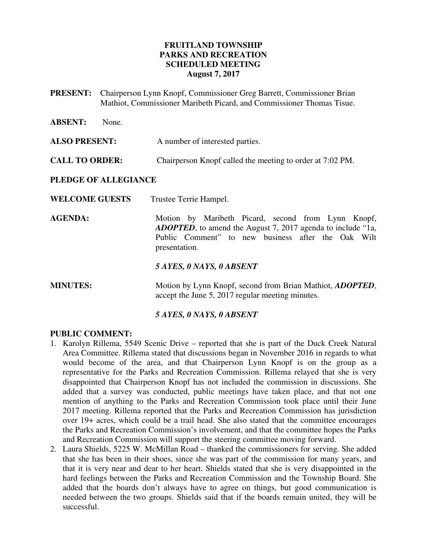### **FRUITLAND TOWNSHIP PARKS AND RECREATION SCHEDULED MEETING August 7, 2017**

- **PRESENT:** Chairperson Lynn Knopf, Commissioner Greg Barrett, Commissioner Brian Mathiot, Commissioner Maribeth Picard, and Commissioner Thomas Tisue.
- **ABSENT:** None.

**ALSO PRESENT:** A number of interested parties.

**CALL TO ORDER:** Chairperson Knopf called the meeting to order at 7:02 PM.

#### **PLEDGE OF ALLEGIANCE**

- WELCOME GUESTS Trustee Terrie Hampel.
- AGENDA: Motion by Maribeth Picard, second from Lynn Knopf, *ADOPTED*, to amend the August 7, 2017 agenda to include "1a, Public Comment" to new business after the Oak Wilt presentation.

#### *5 AYES, 0 NAYS, 0 ABSENT*

**MINUTES:** Motion by Lynn Knopf, second from Brian Mathiot, *ADOPTED*, accept the June 5, 2017 regular meeting minutes.

### *5 AYES, 0 NAYS, 0 ABSENT*

#### **PUBLIC COMMENT:**

- 1. Karolyn Rillema, 5549 Scenic Drive reported that she is part of the Duck Creek Natural Area Committee. Rillema stated that discussions began in November 2016 in regards to what would become of the area, and that Chairperson Lynn Knopf is on the group as a representative for the Parks and Recreation Commission. Rillema relayed that she is very disappointed that Chairperson Knopf has not included the commission in discussions. She added that a survey was conducted, public meetings have taken place, and that not one mention of anything to the Parks and Recreation Commission took place until their June 2017 meeting. Rillema reported that the Parks and Recreation Commission has jurisdiction over 19+ acres, which could be a trail head. She also stated that the committee encourages the Parks and Recreation Commission's involvement, and that the committee hopes the Parks and Recreation Commission will support the steering committee moving forward.
- 2. Laura Shields, 5225 W. McMillan Road thanked the commissioners for serving. She added that she has been in their shoes, since she was part of the commission for many years, and that it is very near and dear to her heart. Shields stated that she is very disappointed in the hard feelings between the Parks and Recreation Commission and the Township Board. She added that the boards don't always have to agree on things, but good communication is needed between the two groups. Shields said that if the boards remain united, they will be successful.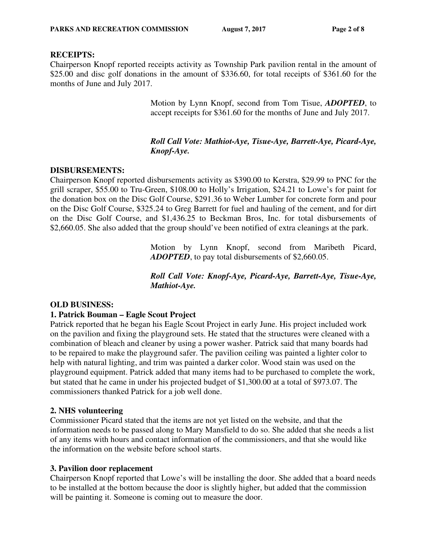#### **RECEIPTS:**

Chairperson Knopf reported receipts activity as Township Park pavilion rental in the amount of \$25.00 and disc golf donations in the amount of \$336.60, for total receipts of \$361.60 for the months of June and July 2017.

> Motion by Lynn Knopf, second from Tom Tisue, *ADOPTED*, to accept receipts for \$361.60 for the months of June and July 2017.

### *Roll Call Vote: Mathiot-Aye, Tisue-Aye, Barrett-Aye, Picard-Aye, Knopf-Aye.*

### **DISBURSEMENTS:**

Chairperson Knopf reported disbursements activity as \$390.00 to Kerstra, \$29.99 to PNC for the grill scraper, \$55.00 to Tru-Green, \$108.00 to Holly's Irrigation, \$24.21 to Lowe's for paint for the donation box on the Disc Golf Course, \$291.36 to Weber Lumber for concrete form and pour on the Disc Golf Course, \$325.24 to Greg Barrett for fuel and hauling of the cement, and for dirt on the Disc Golf Course, and \$1,436.25 to Beckman Bros, Inc. for total disbursements of \$2,660.05. She also added that the group should've been notified of extra cleanings at the park.

> Motion by Lynn Knopf, second from Maribeth Picard, *ADOPTED*, to pay total disbursements of \$2,660.05.

> *Roll Call Vote: Knopf-Aye, Picard-Aye, Barrett-Aye, Tisue-Aye, Mathiot-Aye.*

### **OLD BUSINESS:**

### **1. Patrick Bouman – Eagle Scout Project**

Patrick reported that he began his Eagle Scout Project in early June. His project included work on the pavilion and fixing the playground sets. He stated that the structures were cleaned with a combination of bleach and cleaner by using a power washer. Patrick said that many boards had to be repaired to make the playground safer. The pavilion ceiling was painted a lighter color to help with natural lighting, and trim was painted a darker color. Wood stain was used on the playground equipment. Patrick added that many items had to be purchased to complete the work, but stated that he came in under his projected budget of \$1,300.00 at a total of \$973.07. The commissioners thanked Patrick for a job well done.

### **2. NHS volunteering**

Commissioner Picard stated that the items are not yet listed on the website, and that the information needs to be passed along to Mary Mansfield to do so. She added that she needs a list of any items with hours and contact information of the commissioners, and that she would like the information on the website before school starts.

### **3. Pavilion door replacement**

Chairperson Knopf reported that Lowe's will be installing the door. She added that a board needs to be installed at the bottom because the door is slightly higher, but added that the commission will be painting it. Someone is coming out to measure the door.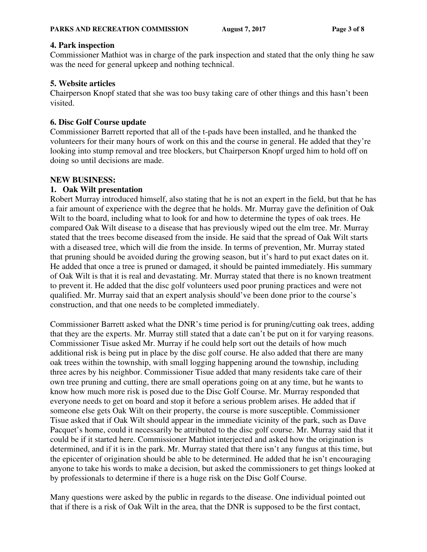# **4. Park inspection**

Commissioner Mathiot was in charge of the park inspection and stated that the only thing he saw was the need for general upkeep and nothing technical.

# **5. Website articles**

Chairperson Knopf stated that she was too busy taking care of other things and this hasn't been visited.

# **6. Disc Golf Course update**

Commissioner Barrett reported that all of the t-pads have been installed, and he thanked the volunteers for their many hours of work on this and the course in general. He added that they're looking into stump removal and tree blockers, but Chairperson Knopf urged him to hold off on doing so until decisions are made.

# **NEW BUSINESS:**

# **1. Oak Wilt presentation**

Robert Murray introduced himself, also stating that he is not an expert in the field, but that he has a fair amount of experience with the degree that he holds. Mr. Murray gave the definition of Oak Wilt to the board, including what to look for and how to determine the types of oak trees. He compared Oak Wilt disease to a disease that has previously wiped out the elm tree. Mr. Murray stated that the trees become diseased from the inside. He said that the spread of Oak Wilt starts with a diseased tree, which will die from the inside. In terms of prevention, Mr. Murray stated that pruning should be avoided during the growing season, but it's hard to put exact dates on it. He added that once a tree is pruned or damaged, it should be painted immediately. His summary of Oak Wilt is that it is real and devastating. Mr. Murray stated that there is no known treatment to prevent it. He added that the disc golf volunteers used poor pruning practices and were not qualified. Mr. Murray said that an expert analysis should've been done prior to the course's construction, and that one needs to be completed immediately.

Commissioner Barrett asked what the DNR's time period is for pruning/cutting oak trees, adding that they are the experts. Mr. Murray still stated that a date can't be put on it for varying reasons. Commissioner Tisue asked Mr. Murray if he could help sort out the details of how much additional risk is being put in place by the disc golf course. He also added that there are many oak trees within the township, with small logging happening around the township, including three acres by his neighbor. Commissioner Tisue added that many residents take care of their own tree pruning and cutting, there are small operations going on at any time, but he wants to know how much more risk is posed due to the Disc Golf Course. Mr. Murray responded that everyone needs to get on board and stop it before a serious problem arises. He added that if someone else gets Oak Wilt on their property, the course is more susceptible. Commissioner Tisue asked that if Oak Wilt should appear in the immediate vicinity of the park, such as Dave Pacquet's home, could it necessarily be attributed to the disc golf course. Mr. Murray said that it could be if it started here. Commissioner Mathiot interjected and asked how the origination is determined, and if it is in the park. Mr. Murray stated that there isn't any fungus at this time, but the epicenter of origination should be able to be determined. He added that he isn't encouraging anyone to take his words to make a decision, but asked the commissioners to get things looked at by professionals to determine if there is a huge risk on the Disc Golf Course.

Many questions were asked by the public in regards to the disease. One individual pointed out that if there is a risk of Oak Wilt in the area, that the DNR is supposed to be the first contact,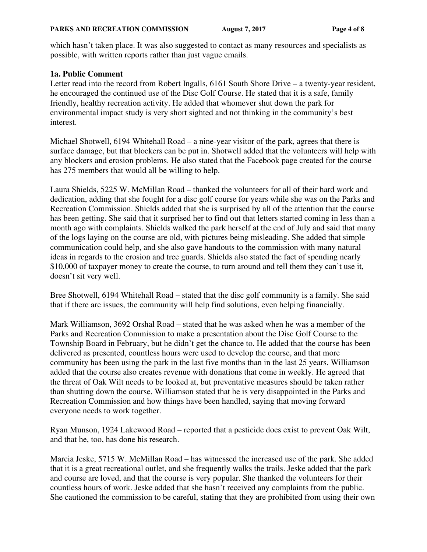which hasn't taken place. It was also suggested to contact as many resources and specialists as possible, with written reports rather than just vague emails.

### **1a. Public Comment**

Letter read into the record from Robert Ingalls, 6161 South Shore Drive – a twenty-year resident, he encouraged the continued use of the Disc Golf Course. He stated that it is a safe, family friendly, healthy recreation activity. He added that whomever shut down the park for environmental impact study is very short sighted and not thinking in the community's best interest.

Michael Shotwell, 6194 Whitehall Road – a nine-year visitor of the park, agrees that there is surface damage, but that blockers can be put in. Shotwell added that the volunteers will help with any blockers and erosion problems. He also stated that the Facebook page created for the course has 275 members that would all be willing to help.

Laura Shields, 5225 W. McMillan Road – thanked the volunteers for all of their hard work and dedication, adding that she fought for a disc golf course for years while she was on the Parks and Recreation Commission. Shields added that she is surprised by all of the attention that the course has been getting. She said that it surprised her to find out that letters started coming in less than a month ago with complaints. Shields walked the park herself at the end of July and said that many of the logs laying on the course are old, with pictures being misleading. She added that simple communication could help, and she also gave handouts to the commission with many natural ideas in regards to the erosion and tree guards. Shields also stated the fact of spending nearly \$10,000 of taxpayer money to create the course, to turn around and tell them they can't use it, doesn't sit very well.

Bree Shotwell, 6194 Whitehall Road – stated that the disc golf community is a family. She said that if there are issues, the community will help find solutions, even helping financially.

Mark Williamson, 3692 Orshal Road – stated that he was asked when he was a member of the Parks and Recreation Commission to make a presentation about the Disc Golf Course to the Township Board in February, but he didn't get the chance to. He added that the course has been delivered as presented, countless hours were used to develop the course, and that more community has been using the park in the last five months than in the last 25 years. Williamson added that the course also creates revenue with donations that come in weekly. He agreed that the threat of Oak Wilt needs to be looked at, but preventative measures should be taken rather than shutting down the course. Williamson stated that he is very disappointed in the Parks and Recreation Commission and how things have been handled, saying that moving forward everyone needs to work together.

Ryan Munson, 1924 Lakewood Road – reported that a pesticide does exist to prevent Oak Wilt, and that he, too, has done his research.

Marcia Jeske, 5715 W. McMillan Road – has witnessed the increased use of the park. She added that it is a great recreational outlet, and she frequently walks the trails. Jeske added that the park and course are loved, and that the course is very popular. She thanked the volunteers for their countless hours of work. Jeske added that she hasn't received any complaints from the public. She cautioned the commission to be careful, stating that they are prohibited from using their own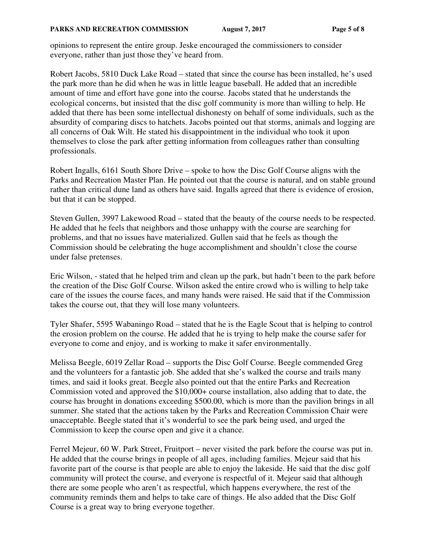opinions to represent the entire group. Jeske encouraged the commissioners to consider everyone, rather than just those they've heard from.

Robert Jacobs, 5810 Duck Lake Road – stated that since the course has been installed, he's used the park more than he did when he was in little league baseball. He added that an incredible amount of time and effort have gone into the course. Jacobs stated that he understands the ecological concerns, but insisted that the disc golf community is more than willing to help. He added that there has been some intellectual dishonesty on behalf of some individuals, such as the absurdity of comparing discs to hatchets. Jacobs pointed out that storms, animals and logging are all concerns of Oak Wilt. He stated his disappointment in the individual who took it upon themselves to close the park after getting information from colleagues rather than consulting professionals.

Robert Ingalls, 6161 South Shore Drive – spoke to how the Disc Golf Course aligns with the Parks and Recreation Master Plan. He pointed out that the course is natural, and on stable ground rather than critical dune land as others have said. Ingalls agreed that there is evidence of erosion, but that it can be stopped.

Steven Gullen, 3997 Lakewood Road – stated that the beauty of the course needs to be respected. He added that he feels that neighbors and those unhappy with the course are searching for problems, and that no issues have materialized. Gullen said that he feels as though the Commission should be celebrating the huge accomplishment and shouldn't close the course under false pretenses.

Eric Wilson, - stated that he helped trim and clean up the park, but hadn't been to the park before the creation of the Disc Golf Course. Wilson asked the entire crowd who is willing to help take care of the issues the course faces, and many hands were raised. He said that if the Commission takes the course out, that they will lose many volunteers.

Tyler Shafer, 5595 Wabaningo Road – stated that he is the Eagle Scout that is helping to control the erosion problem on the course. He added that he is trying to help make the course safer for everyone to come and enjoy, and is working to make it safer environmentally.

Melissa Beegle, 6019 Zellar Road – supports the Disc Golf Course. Beegle commended Greg and the volunteers for a fantastic job. She added that she's walked the course and trails many times, and said it looks great. Beegle also pointed out that the entire Parks and Recreation Commission voted and approved the \$10,000+ course installation, also adding that to date, the course has brought in donations exceeding \$500.00, which is more than the pavilion brings in all summer. She stated that the actions taken by the Parks and Recreation Commission Chair were unacceptable. Beegle stated that it's wonderful to see the park being used, and urged the Commission to keep the course open and give it a chance.

Ferrel Mejeur, 60 W. Park Street, Fruitport – never visited the park before the course was put in. He added that the course brings in people of all ages, including families. Mejeur said that his favorite part of the course is that people are able to enjoy the lakeside. He said that the disc golf community will protect the course, and everyone is respectful of it. Mejeur said that although there are some people who aren't as respectful, which happens everywhere, the rest of the community reminds them and helps to take care of things. He also added that the Disc Golf Course is a great way to bring everyone together.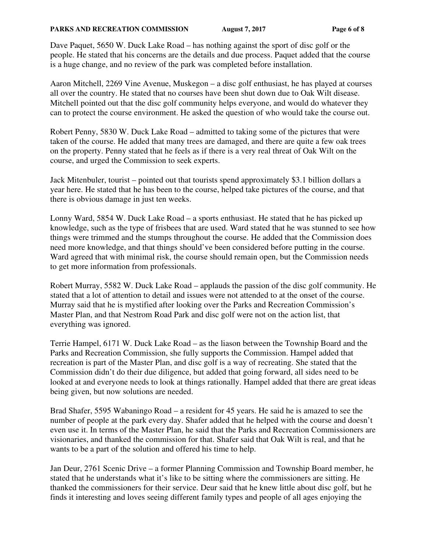Dave Paquet, 5650 W. Duck Lake Road – has nothing against the sport of disc golf or the people. He stated that his concerns are the details and due process. Paquet added that the course is a huge change, and no review of the park was completed before installation.

Aaron Mitchell, 2269 Vine Avenue, Muskegon – a disc golf enthusiast, he has played at courses all over the country. He stated that no courses have been shut down due to Oak Wilt disease. Mitchell pointed out that the disc golf community helps everyone, and would do whatever they can to protect the course environment. He asked the question of who would take the course out.

Robert Penny, 5830 W. Duck Lake Road – admitted to taking some of the pictures that were taken of the course. He added that many trees are damaged, and there are quite a few oak trees on the property. Penny stated that he feels as if there is a very real threat of Oak Wilt on the course, and urged the Commission to seek experts.

Jack Mitenbuler, tourist – pointed out that tourists spend approximately \$3.1 billion dollars a year here. He stated that he has been to the course, helped take pictures of the course, and that there is obvious damage in just ten weeks.

Lonny Ward, 5854 W. Duck Lake Road – a sports enthusiast. He stated that he has picked up knowledge, such as the type of frisbees that are used. Ward stated that he was stunned to see how things were trimmed and the stumps throughout the course. He added that the Commission does need more knowledge, and that things should've been considered before putting in the course. Ward agreed that with minimal risk, the course should remain open, but the Commission needs to get more information from professionals.

Robert Murray, 5582 W. Duck Lake Road – applauds the passion of the disc golf community. He stated that a lot of attention to detail and issues were not attended to at the onset of the course. Murray said that he is mystified after looking over the Parks and Recreation Commission's Master Plan, and that Nestrom Road Park and disc golf were not on the action list, that everything was ignored.

Terrie Hampel, 6171 W. Duck Lake Road – as the liason between the Township Board and the Parks and Recreation Commission, she fully supports the Commission. Hampel added that recreation is part of the Master Plan, and disc golf is a way of recreating. She stated that the Commission didn't do their due diligence, but added that going forward, all sides need to be looked at and everyone needs to look at things rationally. Hampel added that there are great ideas being given, but now solutions are needed.

Brad Shafer, 5595 Wabaningo Road – a resident for 45 years. He said he is amazed to see the number of people at the park every day. Shafer added that he helped with the course and doesn't even use it. In terms of the Master Plan, he said that the Parks and Recreation Commissioners are visionaries, and thanked the commission for that. Shafer said that Oak Wilt is real, and that he wants to be a part of the solution and offered his time to help.

Jan Deur, 2761 Scenic Drive – a former Planning Commission and Township Board member, he stated that he understands what it's like to be sitting where the commissioners are sitting. He thanked the commissioners for their service. Deur said that he knew little about disc golf, but he finds it interesting and loves seeing different family types and people of all ages enjoying the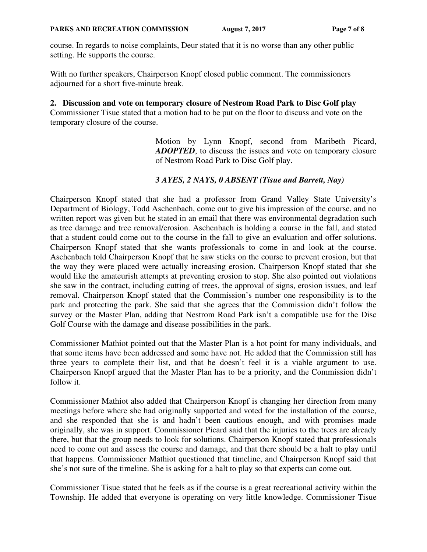course. In regards to noise complaints, Deur stated that it is no worse than any other public setting. He supports the course.

With no further speakers, Chairperson Knopf closed public comment. The commissioners adjourned for a short five-minute break.

### **2. Discussion and vote on temporary closure of Nestrom Road Park to Disc Golf play**

Commissioner Tisue stated that a motion had to be put on the floor to discuss and vote on the temporary closure of the course.

> Motion by Lynn Knopf, second from Maribeth Picard, *ADOPTED*, to discuss the issues and vote on temporary closure of Nestrom Road Park to Disc Golf play.

### *3 AYES, 2 NAYS, 0 ABSENT (Tisue and Barrett, Nay)*

Chairperson Knopf stated that she had a professor from Grand Valley State University's Department of Biology, Todd Aschenbach, come out to give his impression of the course, and no written report was given but he stated in an email that there was environmental degradation such as tree damage and tree removal/erosion. Aschenbach is holding a course in the fall, and stated that a student could come out to the course in the fall to give an evaluation and offer solutions. Chairperson Knopf stated that she wants professionals to come in and look at the course. Aschenbach told Chairperson Knopf that he saw sticks on the course to prevent erosion, but that the way they were placed were actually increasing erosion. Chairperson Knopf stated that she would like the amateurish attempts at preventing erosion to stop. She also pointed out violations she saw in the contract, including cutting of trees, the approval of signs, erosion issues, and leaf removal. Chairperson Knopf stated that the Commission's number one responsibility is to the park and protecting the park. She said that she agrees that the Commission didn't follow the survey or the Master Plan, adding that Nestrom Road Park isn't a compatible use for the Disc Golf Course with the damage and disease possibilities in the park.

Commissioner Mathiot pointed out that the Master Plan is a hot point for many individuals, and that some items have been addressed and some have not. He added that the Commission still has three years to complete their list, and that he doesn't feel it is a viable argument to use. Chairperson Knopf argued that the Master Plan has to be a priority, and the Commission didn't follow it.

Commissioner Mathiot also added that Chairperson Knopf is changing her direction from many meetings before where she had originally supported and voted for the installation of the course, and she responded that she is and hadn't been cautious enough, and with promises made originally, she was in support. Commissioner Picard said that the injuries to the trees are already there, but that the group needs to look for solutions. Chairperson Knopf stated that professionals need to come out and assess the course and damage, and that there should be a halt to play until that happens. Commissioner Mathiot questioned that timeline, and Chairperson Knopf said that she's not sure of the timeline. She is asking for a halt to play so that experts can come out.

Commissioner Tisue stated that he feels as if the course is a great recreational activity within the Township. He added that everyone is operating on very little knowledge. Commissioner Tisue